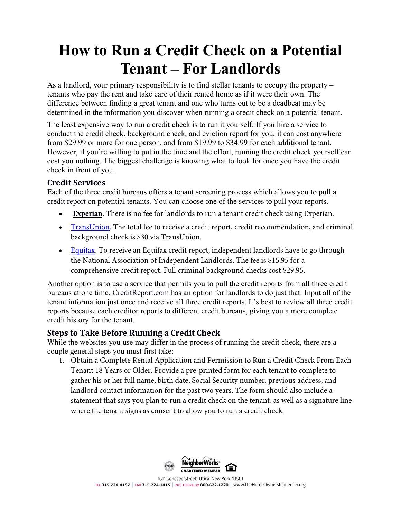# **How to Run a Credit Check on a Potential Tenant – For Landlords**

As a [landlord,](http://www.moneycrashers.com/good-landlord-tips-advice-responsibilities/) your primary responsibility is to find stellar tenants to occupy the property – tenants who pay the rent and take care of their rented home as if it were their own. The difference between finding a [great tenant](http://www.moneycrashers.com/tips-tenant-landlords-find-apartment/) and one who turns out to be a deadbeat may be determined in the information you discover when running a credit check on a potential tenant.

The least expensive way to run a credit check is to run it yourself. If you hire a service to conduct the credit check, background check, and eviction report for you, it can cost anywhere from \$29.99 or more for one person, and from \$19.99 to \$34.99 for each additional tenant. However, if you're willing to put in the time and the effort, running the credit check yourself can cost you nothing. The biggest challenge is knowing what to look for once you have the credit check in front of you.

### **Credit Services**

Each of the three credit bureaus offers a tenant screening process which allows you to pull a [credit report](http://www.moneycrashers.com/what-is-free-annual-credit-report/) on potential tenants. You can choose one of the services to pull your reports.

- **[Experian](http://www.moneycrashers.com/rec/experian-landlord)**. There is no fee for landlords to run a tenant credit check using Experian.
- [TransUnion.](http://www.transunion.com/corporate/business/propertymgt/property-management_landing.page?portal=y) The total fee to receive a credit report, credit recommendation, and criminal background check is \$30 via TransUnion.
- [Equifax.](http://www.moneycrashers.com/rec/equifax) To receive an Equifax credit report, independent landlords have to go through the National Association of Independent Landlords. The fee is \$15.95 for a comprehensive credit report. Full criminal background checks cost \$29.95.

Another option is to use a service that permits you to pull the credit reports from all three credit bureaus at one time. [CreditReport.com](http://www.creditreport.com/) has an option for landlords to do just that: Input all of the tenant information just once and receive all three credit reports. It's best to review all three credit reports because each creditor reports to different credit bureaus, giving you a more complete credit history for the tenant.

## **Steps to Take Before Running a Credit Check**

While the websites you use may differ in the process of running the credit check, there are a couple general steps you must first take:

1. Obtain a Complete Rental Application and Permission to Run a Credit Check From Each Tenant 18 Years or Older. Provide a pre-printed form for each tenant to complete to gather his or her full name, birth date, Social Security number, previous address, and landlord contact information for the past two years. The form should also include a statement that says you plan to run a credit check on the tenant, as well as a signature line where the tenant signs as consent to allow you to run a credit check.



1611 Genesee Street, Utica, New York 13501 TEL 315.724.4197 | FAX 315.724.1415 | NYS TDD RELAY 800.622.1220 | WWW.theHomeOwnershipCenter.org